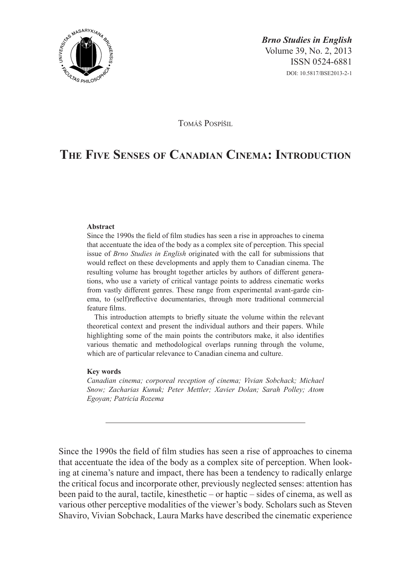

Tomáš Pospíšil

# **The Five Senses of Canadian Cinema: Introduction**

### **Abstract**

Since the 1990s the field of film studies has seen a rise in approaches to cinema that accentuate the idea of the body as a complex site of perception. This special issue of *Brno Studies in English* originated with the call for submissions that would reflect on these developments and apply them to Canadian cinema. The resulting volume has brought together articles by authors of different generations, who use a variety of critical vantage points to address cinematic works from vastly different genres. These range from experimental avant-garde cinema, to (self)reflective documentaries, through more traditional commercial feature films.

This introduction attempts to briefly situate the volume within the relevant theoretical context and present the individual authors and their papers. While highlighting some of the main points the contributors make, it also identifies various thematic and methodological overlaps running through the volume, which are of particular relevance to Canadian cinema and culture.

#### **Key words**

*Canadian cinema; corporeal reception of cinema; Vivian Sobchack; Michael Snow; Zacharias Kunuk; Peter Mettler; Xavier Dolan; Sarah Polley; Atom Egoyan; Patricia Rozema*

Since the 1990s the field of film studies has seen a rise of approaches to cinema that accentuate the idea of the body as a complex site of perception. When looking at cinema's nature and impact, there has been a tendency to radically enlarge the critical focus and incorporate other, previously neglected senses: attention has been paid to the aural, tactile, kinesthetic – or haptic – sides of cinema, as well as various other perceptive modalities of the viewer's body. Scholars such as Steven Shaviro, Vivian Sobchack, Laura Marks have described the cinematic experience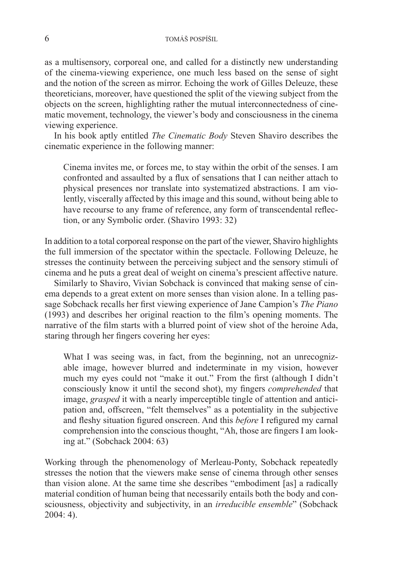as a multisensory, corporeal one, and called for a distinctly new understanding of the cinema-viewing experience, one much less based on the sense of sight and the notion of the screen as mirror. Echoing the work of Gilles Deleuze, these theoreticians, moreover, have questioned the split of the viewing subject from the objects on the screen, highlighting rather the mutual interconnectedness of cinematic movement, technology, the viewer's body and consciousness in the cinema viewing experience.

In his book aptly entitled *The Cinematic Body* Steven Shaviro describes the cinematic experience in the following manner:

Cinema invites me, or forces me, to stay within the orbit of the senses. I am confronted and assaulted by a flux of sensations that I can neither attach to physical presences nor translate into systematized abstractions. I am violently, viscerally affected by this image and this sound, without being able to have recourse to any frame of reference, any form of transcendental reflection, or any Symbolic order. (Shaviro 1993: 32)

In addition to a total corporeal response on the part of the viewer, Shaviro highlights the full immersion of the spectator within the spectacle. Following Deleuze, he stresses the continuity between the perceiving subject and the sensory stimuli of cinema and he puts a great deal of weight on cinema's prescient affective nature.

Similarly to Shaviro, Vivian Sobchack is convinced that making sense of cinema depends to a great extent on more senses than vision alone. In a telling passage Sobchack recalls her first viewing experience of Jane Campion's *The Piano* (1993) and describes her original reaction to the film's opening moments. The narrative of the film starts with a blurred point of view shot of the heroine Ada, staring through her fingers covering her eyes:

What I was seeing was, in fact, from the beginning, not an unrecognizable image, however blurred and indeterminate in my vision, however much my eyes could not "make it out." From the first (although I didn't consciously know it until the second shot), my fingers *comprehended* that image, *grasped* it with a nearly imperceptible tingle of attention and anticipation and, offscreen, "felt themselves" as a potentiality in the subjective and fleshy situation figured onscreen. And this *before* I refigured my carnal comprehension into the conscious thought, "Ah, those are fingers I am looking at." (Sobchack 2004: 63)

Working through the phenomenology of Merleau-Ponty, Sobchack repeatedly stresses the notion that the viewers make sense of cinema through other senses than vision alone. At the same time she describes "embodiment [as] a radically material condition of human being that necessarily entails both the body and consciousness, objectivity and subjectivity, in an *irreducible ensemble*" (Sobchack 2004: 4).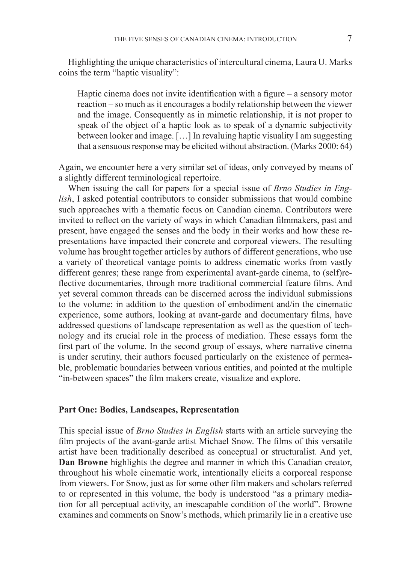Highlighting the unique characteristics of intercultural cinema, Laura U. Marks coins the term "haptic visuality":

Haptic cinema does not invite identification with a figure – a sensory motor reaction – so much as it encourages a bodily relationship between the viewer and the image. Consequently as in mimetic relationship, it is not proper to speak of the object of a haptic look as to speak of a dynamic subjectivity between looker and image. […] In revaluing haptic visuality I am suggesting that a sensuous response may be elicited without abstraction. (Marks 2000: 64)

Again, we encounter here a very similar set of ideas, only conveyed by means of a slightly different terminological repertoire.

When issuing the call for papers for a special issue of *Brno Studies in English*, I asked potential contributors to consider submissions that would combine such approaches with a thematic focus on Canadian cinema. Contributors were invited to reflect on the variety of ways in which Canadian filmmakers, past and present, have engaged the senses and the body in their works and how these representations have impacted their concrete and corporeal viewers. The resulting volume has brought together articles by authors of different generations, who use a variety of theoretical vantage points to address cinematic works from vastly different genres; these range from experimental avant-garde cinema, to (self)reflective documentaries, through more traditional commercial feature films. And yet several common threads can be discerned across the individual submissions to the volume: in addition to the question of embodiment and/in the cinematic experience, some authors, looking at avant-garde and documentary films, have addressed questions of landscape representation as well as the question of technology and its crucial role in the process of mediation. These essays form the first part of the volume. In the second group of essays, where narrative cinema is under scrutiny, their authors focused particularly on the existence of permeable, problematic boundaries between various entities, and pointed at the multiple "in-between spaces" the film makers create, visualize and explore.

## **Part One: Bodies, Landscapes, Representation**

This special issue of *Brno Studies in English* starts with an article surveying the film projects of the avant-garde artist Michael Snow. The films of this versatile artist have been traditionally described as conceptual or structuralist. And yet, **Dan Browne** highlights the degree and manner in which this Canadian creator, throughout his whole cinematic work, intentionally elicits a corporeal response from viewers. For Snow, just as for some other film makers and scholars referred to or represented in this volume, the body is understood "as a primary mediation for all perceptual activity, an inescapable condition of the world". Browne examines and comments on Snow's methods, which primarily lie in a creative use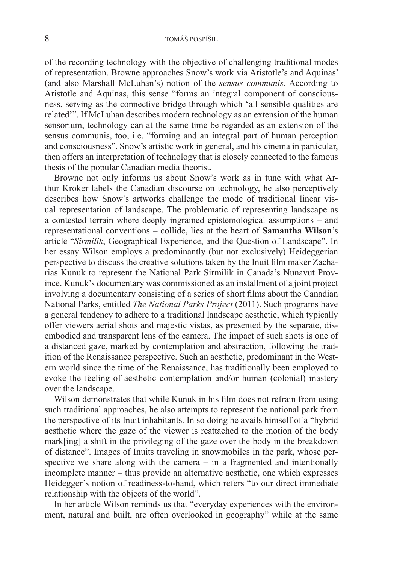of the recording technology with the objective of challenging traditional modes of representation. Browne approaches Snow's work via Aristotle's and Aquinas' (and also Marshall McLuhan's) notion of the *sensus communis.* According to Aristotle and Aquinas, this sense "forms an integral component of consciousness, serving as the connective bridge through which 'all sensible qualities are related'". If McLuhan describes modern technology as an extension of the human sensorium, technology can at the same time be regarded as an extension of the sensus communis, too, i.e. "forming and an integral part of human perception and consciousness". Snow's artistic work in general, and his cinema in particular, then offers an interpretation of technology that is closely connected to the famous thesis of the popular Canadian media theorist.

Browne not only informs us about Snow's work as in tune with what Arthur Kroker labels the Canadian discourse on technology, he also perceptively describes how Snow's artworks challenge the mode of traditional linear visual representation of landscape. The problematic of representing landscape as a contested terrain where deeply ingrained epistemological assumptions – and representational conventions – collide, lies at the heart of **Samantha Wilson**'s article "*Sirmilik*, Geographical Experience, and the Question of Landscape". In her essay Wilson employs a predominantly (but not exclusively) Heideggerian perspective to discuss the creative solutions taken by the Inuit film maker Zacharias Kunuk to represent the National Park Sirmilik in Canada's Nunavut Province. Kunuk's documentary was commissioned as an installment of a joint project involving a documentary consisting of a series of short films about the Canadian National Parks, entitled *The National Parks Project* (2011). Such programs have a general tendency to adhere to a traditional landscape aesthetic, which typically offer viewers aerial shots and majestic vistas, as presented by the separate, disembodied and transparent lens of the camera. The impact of such shots is one of a distanced gaze, marked by contemplation and abstraction, following the tradition of the Renaissance perspective. Such an aesthetic, predominant in the Western world since the time of the Renaissance, has traditionally been employed to evoke the feeling of aesthetic contemplation and/or human (colonial) mastery over the landscape.

Wilson demonstrates that while Kunuk in his film does not refrain from using such traditional approaches, he also attempts to represent the national park from the perspective of its Inuit inhabitants. In so doing he avails himself of a "hybrid aesthetic where the gaze of the viewer is reattached to the motion of the body mark[ing] a shift in the privileging of the gaze over the body in the breakdown of distance". Images of Inuits traveling in snowmobiles in the park, whose perspective we share along with the camera  $-$  in a fragmented and intentionally incomplete manner – thus provide an alternative aesthetic, one which expresses Heidegger's notion of readiness-to-hand, which refers "to our direct immediate relationship with the objects of the world".

In her article Wilson reminds us that "everyday experiences with the environment, natural and built, are often overlooked in geography" while at the same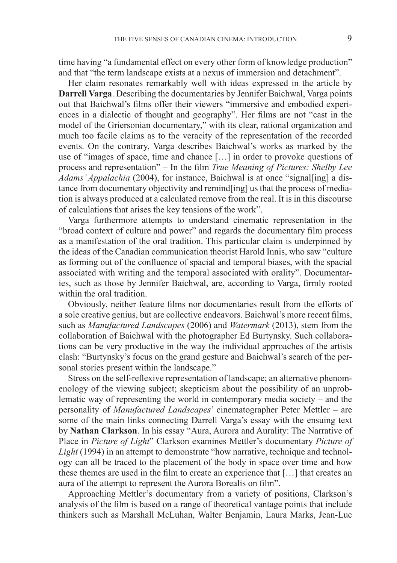time having "a fundamental effect on every other form of knowledge production" and that "the term landscape exists at a nexus of immersion and detachment".

Her claim resonates remarkably well with ideas expressed in the article by **Darrell Varga**. Describing the documentaries by Jennifer Baichwal, Varga points out that Baichwal's films offer their viewers "immersive and embodied experiences in a dialectic of thought and geography". Her films are not "cast in the model of the Griersonian documentary," with its clear, rational organization and much too facile claims as to the veracity of the representation of the recorded events. On the contrary, Varga describes Baichwal's works as marked by the use of "images of space, time and chance […] in order to provoke questions of process and representation" – In the film *True Meaning of Pictures: Shelby Lee Adams' Appalachia* (2004), for instance, Baichwal is at once "signal[ing] a distance from documentary objectivity and remind[ing] us that the process of mediation is always produced at a calculated remove from the real. It is in this discourse of calculations that arises the key tensions of the work".

Varga furthermore attempts to understand cinematic representation in the "broad context of culture and power" and regards the documentary film process as a manifestation of the oral tradition. This particular claim is underpinned by the ideas of the Canadian communication theorist Harold Innis, who saw "culture as forming out of the confluence of spacial and temporal biases, with the spacial associated with writing and the temporal associated with orality". Documentaries, such as those by Jennifer Baichwal, are, according to Varga, firmly rooted within the oral tradition.

Obviously, neither feature films nor documentaries result from the efforts of a sole creative genius, but are collective endeavors. Baichwal's more recent films, such as *Manufactured Landscapes* (2006) and *Watermark* (2013), stem from the collaboration of Baichwal with the photographer Ed Burtynsky. Such collaborations can be very productive in the way the individual approaches of the artists clash: "Burtynsky's focus on the grand gesture and Baichwal's search of the personal stories present within the landscape."

Stress on the self-reflexive representation of landscape; an alternative phenomenology of the viewing subject; skepticism about the possibility of an unproblematic way of representing the world in contemporary media society – and the personality of *Manufactured Landscapes*' cinematographer Peter Mettler – are some of the main links connecting Darrell Varga's essay with the ensuing text by **Nathan Clarkson**. In his essay "Aura, Aurora and Aurality: The Narrative of Place in *Picture of Light*" Clarkson examines Mettler's documentary *Picture of Light* (1994) in an attempt to demonstrate "how narrative, technique and technology can all be traced to the placement of the body in space over time and how these themes are used in the film to create an experience that […] that creates an aura of the attempt to represent the Aurora Borealis on film".

Approaching Mettler's documentary from a variety of positions, Clarkson's analysis of the film is based on a range of theoretical vantage points that include thinkers such as Marshall McLuhan, Walter Benjamin, Laura Marks, Jean-Luc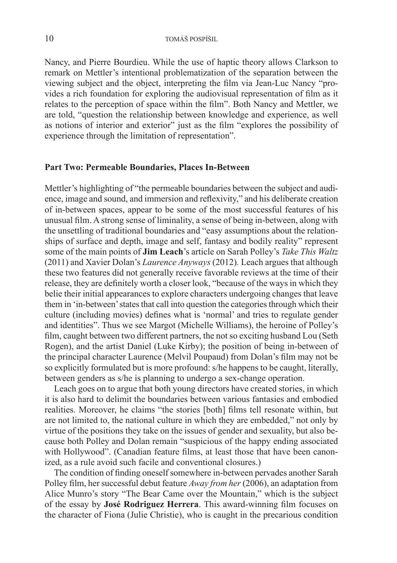10 TOMÁŠ POSPÍŠIL

Nancy, and Pierre Bourdieu. While the use of haptic theory allows Clarkson to remark on Mettler's intentional problematization of the separation between the viewing subject and the object, interpreting the film via Jean-Luc Nancy "provides a rich foundation for exploring the audiovisual representation of film as it relates to the perception of space within the film". Both Nancy and Mettler, we are told, "question the relationship between knowledge and experience, as well as notions of interior and exterior" just as the film "explores the possibility of experience through the limitation of representation".

# **Part Two: Permeable Boundaries, Places In-Between**

Mettler's highlighting of "the permeable boundaries between the subject and audience, image and sound, and immersion and reflexivity," and his deliberate creation of in-between spaces, appear to be some of the most successful features of his unusual film. A strong sense of liminality, a sense of being in-between, along with the unsettling of traditional boundaries and "easy assumptions about the relationships of surface and depth, image and self, fantasy and bodily reality" represent some of the main points of **Jim Leach**'s article on Sarah Polley's *Take This Waltz* (2011) and Xavier Dolan's *Laurence Anyways* (2012)*.* Leach argues that although these two features did not generally receive favorable reviews at the time of their release, they are definitely worth a closer look, "because of the ways in which they belie their initial appearances to explore characters undergoing changes that leave them in 'in-between' states that call into question the categories through which their culture (including movies) defines what is 'normal' and tries to regulate gender and identities". Thus we see Margot (Michelle Williams), the heroine of Polley's film, caught between two different partners, the not so exciting husband Lou (Seth Rogen), and the artist Daniel (Luke Kirby); the position of being in-between of the principal character Laurence (Melvil Poupaud) from Dolan's film may not be so explicitly formulated but is more profound: s/he happens to be caught, literally, between genders as s/he is planning to undergo a sex-change operation.

Leach goes on to argue that both young directors have created stories, in which it is also hard to delimit the boundaries between various fantasies and embodied realities. Moreover, he claims "the stories [both] films tell resonate within, but are not limited to, the national culture in which they are embedded," not only by virtue of the positions they take on the issues of gender and sexuality, but also because both Polley and Dolan remain "suspicious of the happy ending associated with Hollywood". (Canadian feature films, at least those that have been canonized, as a rule avoid such facile and conventional closures.)

The condition of finding oneself somewhere in-between pervades another Sarah Polley film, her successful debut feature *Away from her* (2006), an adaptation from Alice Munro's story "The Bear Came over the Mountain," which is the subject of the essay by **José Rodriguez Herrera**. This award-winning film focuses on the character of Fiona (Julie Christie), who is caught in the precarious condition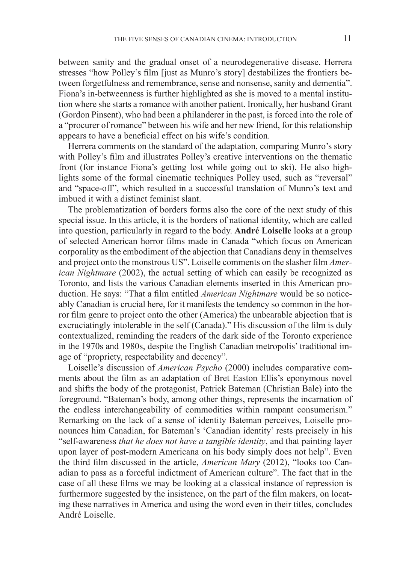between sanity and the gradual onset of a neurodegenerative disease. Herrera stresses "how Polley's film [just as Munro's story] destabilizes the frontiers between forgetfulness and remembrance, sense and nonsense, sanity and dementia". Fiona's in-betweenness is further highlighted as she is moved to a mental institution where she starts a romance with another patient. Ironically, her husband Grant (Gordon Pinsent), who had been a philanderer in the past, is forced into the role of a "procurer of romance" between his wife and her new friend, for this relationship appears to have a beneficial effect on his wife's condition.

Herrera comments on the standard of the adaptation, comparing Munro's story with Polley's film and illustrates Polley's creative interventions on the thematic front (for instance Fiona's getting lost while going out to ski). He also highlights some of the formal cinematic techniques Polley used, such as "reversal" and "space-off", which resulted in a successful translation of Munro's text and imbued it with a distinct feminist slant.

The problematization of borders forms also the core of the next study of this special issue. In this article, it is the borders of national identity, which are called into question, particularly in regard to the body. **André Loiselle** looks at a group of selected American horror films made in Canada "which focus on American corporality as the embodiment of the abjection that Canadians deny in themselves and project onto the monstrous US". Loiselle comments on the slasher film *American Nightmare* (2002), the actual setting of which can easily be recognized as Toronto, and lists the various Canadian elements inserted in this American production. He says: "That a film entitled *American Nightmare* would be so noticeably Canadian is crucial here, for it manifests the tendency so common in the horror film genre to project onto the other (America) the unbearable abjection that is excruciatingly intolerable in the self (Canada)." His discussion of the film is duly contextualized, reminding the readers of the dark side of the Toronto experience in the 1970s and 1980s, despite the English Canadian metropolis' traditional image of "propriety, respectability and decency".

Loiselle's discussion of *American Psycho* (2000) includes comparative comments about the film as an adaptation of Bret Easton Ellis's eponymous novel and shifts the body of the protagonist, Patrick Bateman (Christian Bale) into the foreground. "Bateman's body, among other things, represents the incarnation of the endless interchangeability of commodities within rampant consumerism." Remarking on the lack of a sense of identity Bateman perceives, Loiselle pronounces him Canadian, for Bateman's 'Canadian identity' rests precisely in his "self-awareness *that he does not have a tangible identity*, and that painting layer upon layer of post-modern Americana on his body simply does not help". Even the third film discussed in the article, *American Mary* (2012), "looks too Canadian to pass as a forceful indictment of American culture". The fact that in the case of all these films we may be looking at a classical instance of repression is furthermore suggested by the insistence, on the part of the film makers, on locating these narratives in America and using the word even in their titles, concludes André Loiselle.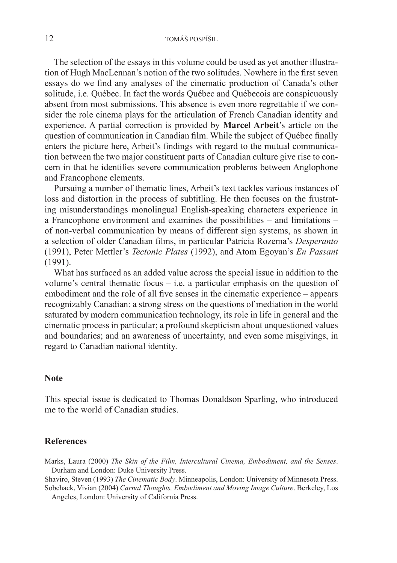The selection of the essays in this volume could be used as yet another illustration of Hugh MacLennan's notion of the two solitudes. Nowhere in the first seven essays do we find any analyses of the cinematic production of Canada's other solitude, i.e. Québec. In fact the words Québec and Québecois are conspicuously absent from most submissions. This absence is even more regrettable if we consider the role cinema plays for the articulation of French Canadian identity and experience. A partial correction is provided by **Marcel Arbeit**'s article on the question of communication in Canadian film. While the subject of Québec finally enters the picture here, Arbeit's findings with regard to the mutual communication between the two major constituent parts of Canadian culture give rise to concern in that he identifies severe communication problems between Anglophone and Francophone elements.

Pursuing a number of thematic lines, Arbeit's text tackles various instances of loss and distortion in the process of subtitling. He then focuses on the frustrating misunderstandings monolingual English-speaking characters experience in a Francophone environment and examines the possibilities – and limitations – of non-verbal communication by means of different sign systems, as shown in a selection of older Canadian films, in particular Patricia Rozema's *Desperanto* (1991), Peter Mettler's *Tectonic Plates* (1992), and Atom Egoyan's *En Passant* (1991).

What has surfaced as an added value across the special issue in addition to the volume's central thematic focus – i.e. a particular emphasis on the question of embodiment and the role of all five senses in the cinematic experience – appears recognizably Canadian: a strong stress on the questions of mediation in the world saturated by modern communication technology, its role in life in general and the cinematic process in particular; a profound skepticism about unquestioned values and boundaries; and an awareness of uncertainty, and even some misgivings, in regard to Canadian national identity.

## **Note**

This special issue is dedicated to Thomas Donaldson Sparling, who introduced me to the world of Canadian studies.

# **References**

Marks, Laura (2000) *The Skin of the Film, Intercultural Cinema, Embodiment, and the Senses*. Durham and London: Duke University Press.

Shaviro, Steven (1993) *The Cinematic Body*. Minneapolis, London: University of Minnesota Press. Sobchack, Vivian (2004) *Carnal Thoughts, Embodiment and Moving Image Culture*. Berkeley, Los

Angeles, London: University of California Press.